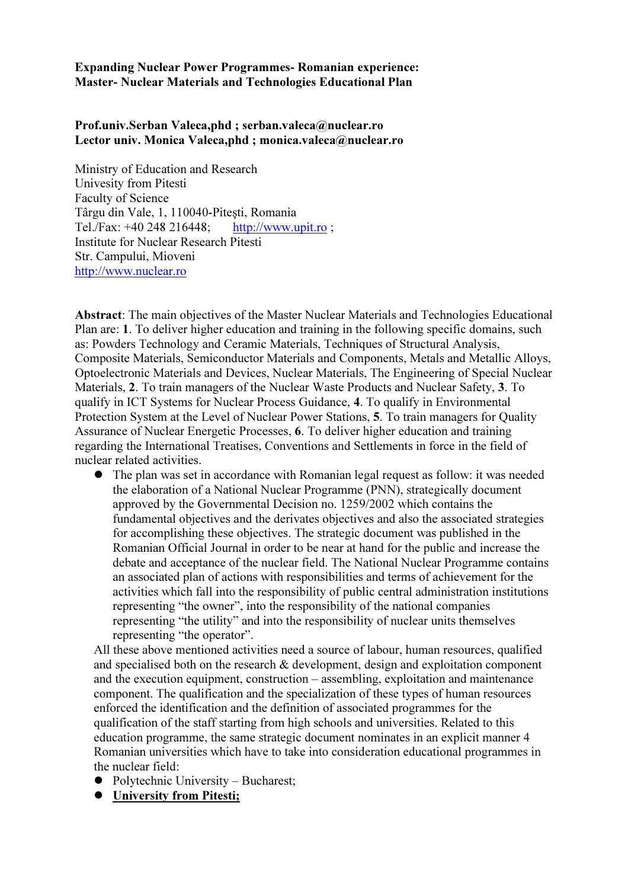Expanding Nuclear Power Programmes- Romanian experience: Master- Nuclear Materials and Technologies Educational Plan

## Prof.univ.Serban Valeca,phd ; serban.valeca@nuclear.ro Lector univ. Monica Valeca,phd ; monica.valeca@nuclear.ro

Ministry of Education and Research Univesity from Pitesti Faculty of Science Târgu din Vale, 1, 110040-Piteşti, Romania Tel./Fax: +40 248 216448; http://www.upit.ro ; Institute for Nuclear Research Pitesti Str. Campului, Mioveni http://www.nuclear.ro

Abstract: The main objectives of the Master Nuclear Materials and Technologies Educational Plan are: 1. To deliver higher education and training in the following specific domains, such as: Powders Technology and Ceramic Materials, Techniques of Structural Analysis, Composite Materials, Semiconductor Materials and Components, Metals and Metallic Alloys, Optoelectronic Materials and Devices, Nuclear Materials, The Engineering of Special Nuclear Materials, 2. To train managers of the Nuclear Waste Products and Nuclear Safety, 3. To qualify in ICT Systems for Nuclear Process Guidance, 4. To qualify in Environmental Protection System at the Level of Nuclear Power Stations, 5. To train managers for Quality Assurance of Nuclear Energetic Processes, 6. To deliver higher education and training regarding the International Treatises, Conventions and Settlements in force in the field of nuclear related activities.

 The plan was set in accordance with Romanian legal request as follow: it was needed the elaboration of a National Nuclear Programme (PNN), strategically document approved by the Governmental Decision no. 1259/2002 which contains the fundamental objectives and the derivates objectives and also the associated strategies for accomplishing these objectives. The strategic document was published in the Romanian Official Journal in order to be near at hand for the public and increase the debate and acceptance of the nuclear field. The National Nuclear Programme contains an associated plan of actions with responsibilities and terms of achievement for the activities which fall into the responsibility of public central administration institutions representing "the owner", into the responsibility of the national companies representing "the utility" and into the responsibility of nuclear units themselves representing "the operator".

All these above mentioned activities need a source of labour, human resources, qualified and specialised both on the research  $\&$  development, design and exploitation component and the execution equipment, construction – assembling, exploitation and maintenance component. The qualification and the specialization of these types of human resources enforced the identification and the definition of associated programmes for the qualification of the staff starting from high schools and universities. Related to this education programme, the same strategic document nominates in an explicit manner 4 Romanian universities which have to take into consideration educational programmes in the nuclear field:

- Polytechnic University Bucharest;
- $\bullet$  University from Pitesti;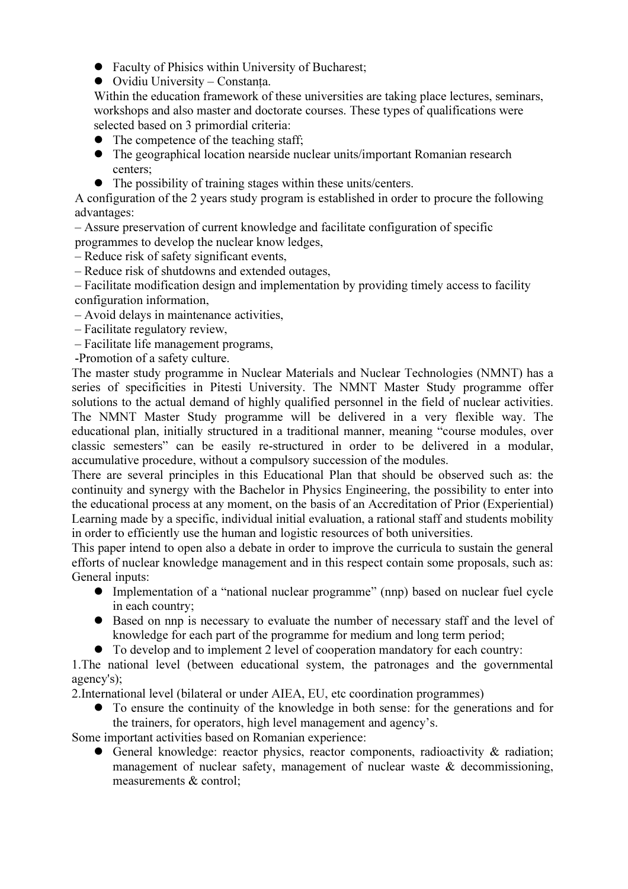- Faculty of Phisics within University of Bucharest;
- $\bullet$  Ovidiu University Constanta.

Within the education framework of these universities are taking place lectures, seminars, workshops and also master and doctorate courses. These types of qualifications were selected based on 3 primordial criteria:

- The competence of the teaching staff;
- The geographical location nearside nuclear units/important Romanian research centers;
- The possibility of training stages within these units/centers.

A configuration of the 2 years study program is established in order to procure the following advantages:

– Assure preservation of current knowledge and facilitate configuration of specific programmes to develop the nuclear know ledges,

- Reduce risk of safety significant events,
- Reduce risk of shutdowns and extended outages,

– Facilitate modification design and implementation by providing timely access to facility configuration information,

- Avoid delays in maintenance activities,
- Facilitate regulatory review,
- Facilitate life management programs,

-Promotion of a safety culture.

The master study programme in Nuclear Materials and Nuclear Technologies (NMNT) has a series of specificities in Pitesti University. The NMNT Master Study programme offer solutions to the actual demand of highly qualified personnel in the field of nuclear activities. The NMNT Master Study programme will be delivered in a very flexible way. The educational plan, initially structured in a traditional manner, meaning "course modules, over classic semesters" can be easily re-structured in order to be delivered in a modular, accumulative procedure, without a compulsory succession of the modules.

There are several principles in this Educational Plan that should be observed such as: the continuity and synergy with the Bachelor in Physics Engineering, the possibility to enter into the educational process at any moment, on the basis of an Accreditation of Prior (Experiential) Learning made by a specific, individual initial evaluation, a rational staff and students mobility in order to efficiently use the human and logistic resources of both universities.

This paper intend to open also a debate in order to improve the curricula to sustain the general efforts of nuclear knowledge management and in this respect contain some proposals, such as: General inputs:

- Implementation of a "national nuclear programme" (nnp) based on nuclear fuel cycle in each country;
- Based on nnp is necessary to evaluate the number of necessary staff and the level of knowledge for each part of the programme for medium and long term period;
- To develop and to implement 2 level of cooperation mandatory for each country:

1.The national level (between educational system, the patronages and the governmental agency's);

2.International level (bilateral or under AIEA, EU, etc coordination programmes)

 To ensure the continuity of the knowledge in both sense: for the generations and for the trainers, for operators, high level management and agency's.

Some important activities based on Romanian experience:

 General knowledge: reactor physics, reactor components, radioactivity & radiation; management of nuclear safety, management of nuclear waste  $\&$  decommissioning, measurements & control;